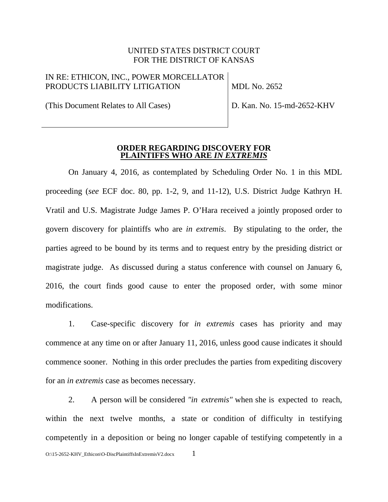## UNITED STATES DISTRICT COURT FOR THE DISTRICT OF KANSAS

## IN RE: ETHICON, INC., POWER MORCELLATOR PRODUCTS LIABILITY LITIGATION

(This Document Relates to All Cases)

MDL No. 2652

D. Kan. No. 15-md-2652-KHV

## **ORDER REGARDING DISCOVERY FOR PLAINTIFFS WHO ARE** *IN EXTREMIS*

On January 4, 2016, as contemplated by Scheduling Order No. 1 in this MDL proceeding (*see* ECF doc. 80, pp. 1-2, 9, and 11-12), U.S. District Judge Kathryn H. Vratil and U.S. Magistrate Judge James P. O'Hara received a jointly proposed order to govern discovery for plaintiffs who are *in extremis*. By stipulating to the order, the parties agreed to be bound by its terms and to request entry by the presiding district or magistrate judge. As discussed during a status conference with counsel on January 6, 2016, the court finds good cause to enter the proposed order, with some minor modifications.

1. Case-specific discovery for *in extremis* cases has priority and may commence at any time on or after January 11, 2016, unless good cause indicates it should commence sooner. Nothing in this order precludes the parties from expediting discovery for an *in extremis* case as becomes necessary.

2. A person will be considered *"in extremis"* when she is expected to reach, within the next twelve months, a state or condition of difficulty in testifying competently in a deposition or being no longer capable of testifying competently in a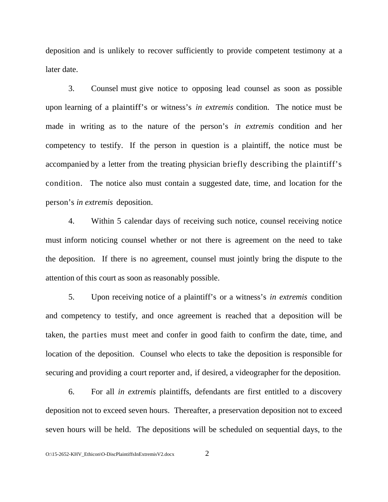deposition and is unlikely to recover sufficiently to provide competent testimony at a later date.

3. Counsel must give notice to opposing lead counsel as soon as possible upon learning of a plaintiff's or witness's *in extremis* condition. The notice must be made in writing as to the nature of the person's *in extremis* condition and her competency to testify. If the person in question is a plaintiff, the notice must be accompanied by a letter from the treating physician briefly describing the plaintiff's condition. The notice also must contain a suggested date, time, and location for the person's *in extremis* deposition.

4. Within 5 calendar days of receiving such notice, counsel receiving notice must inform noticing counsel whether or not there is agreement on the need to take the deposition. If there is no agreement, counsel must jointly bring the dispute to the attention of this court as soon as reasonably possible.

5. Upon receiving notice of a plaintiff's or a witness's *in extremis* condition and competency to testify, and once agreement is reached that a deposition will be taken, the parties must meet and confer in good faith to confirm the date, time, and location of the deposition. Counsel who elects to take the deposition is responsible for securing and providing a court reporter and, if desired, a videographer for the deposition.

6. For all *in extremis* plaintiffs, defendants are first entitled to a discovery deposition not to exceed seven hours. Thereafter, a preservation deposition not to exceed seven hours will be held. The depositions will be scheduled on sequential days, to the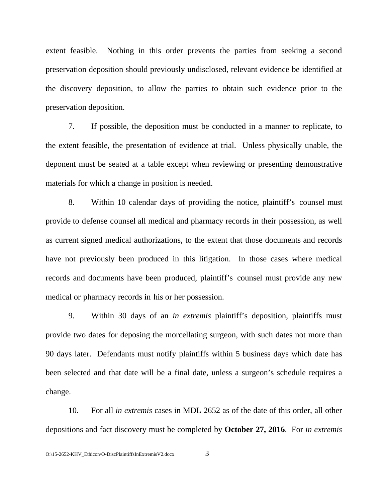extent feasible. Nothing in this order prevents the parties from seeking a second preservation deposition should previously undisclosed, relevant evidence be identified at the discovery deposition, to allow the parties to obtain such evidence prior to the preservation deposition.

7. If possible, the deposition must be conducted in a manner to replicate, to the extent feasible, the presentation of evidence at trial. Unless physically unable, the deponent must be seated at a table except when reviewing or presenting demonstrative materials for which a change in position is needed.

8. Within 10 calendar days of providing the notice, plaintiff's counsel must provide to defense counsel all medical and pharmacy records in their possession, as well as current signed medical authorizations, to the extent that those documents and records have not previously been produced in this litigation. In those cases where medical records and documents have been produced, plaintiff's counsel must provide any new medical or pharmacy records in his or her possession.

9. Within 30 days of an *in extremis* plaintiff's deposition, plaintiffs must provide two dates for deposing the morcellating surgeon, with such dates not more than 90 days later. Defendants must notify plaintiffs within 5 business days which date has been selected and that date will be a final date, unless a surgeon's schedule requires a change.

10. For all *in extremis* cases in MDL 2652 as of the date of this order, all other depositions and fact discovery must be completed by **October 27, 2016**. For *in extremis*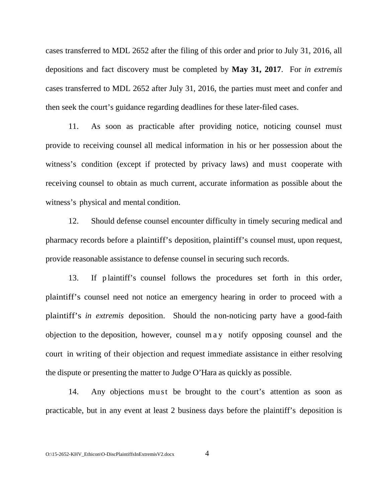cases transferred to MDL 2652 after the filing of this order and prior to July 31, 2016, all depositions and fact discovery must be completed by **May 31, 2017**. For *in extremis* cases transferred to MDL 2652 after July 31, 2016, the parties must meet and confer and then seek the court's guidance regarding deadlines for these later-filed cases.

11. As soon as practicable after providing notice, noticing counsel must provide to receiving counsel all medical information in his or her possession about the witness's condition (except if protected by privacy laws) and must cooperate with receiving counsel to obtain as much current, accurate information as possible about the witness's physical and mental condition.

12. Should defense counsel encounter difficulty in timely securing medical and pharmacy records before a plaintiff's deposition, plaintiff's counsel must, upon request, provide reasonable assistance to defense counsel in securing such records.

13. If p laintiff's counsel follows the procedures set forth in this order, plaintiff's counsel need not notice an emergency hearing in order to proceed with a plaintiff's *in extremis* deposition. Should the non-noticing party have a good-faith objection to the deposition, however, counsel m a y notify opposing counsel and the court in writing of their objection and request immediate assistance in either resolving the dispute or presenting the matter to Judge O'Hara as quickly as possible.

14. Any objections must be brought to the court's attention as soon as practicable, but in any event at least 2 business days before the plaintiff's deposition is